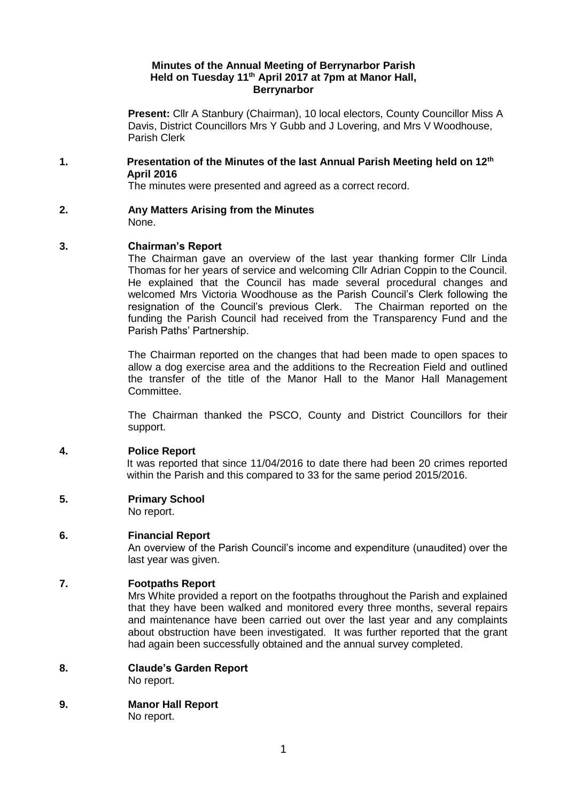## **Minutes of the Annual Meeting of Berrynarbor Parish Held on Tuesday 11th April 2017 at 7pm at Manor Hall, Berrynarbor**

**Present:** Cllr A Stanbury (Chairman), 10 local electors, County Councillor Miss A Davis, District Councillors Mrs Y Gubb and J Lovering, and Mrs V Woodhouse, Parish Clerk

## **1. Presentation of the Minutes of the last Annual Parish Meeting held on 12th April 2016**

The minutes were presented and agreed as a correct record.

**2. Any Matters Arising from the Minutes**  None.

# **3. Chairman's Report**

The Chairman gave an overview of the last year thanking former Cllr Linda Thomas for her years of service and welcoming Cllr Adrian Coppin to the Council. He explained that the Council has made several procedural changes and welcomed Mrs Victoria Woodhouse as the Parish Council's Clerk following the resignation of the Council's previous Clerk. The Chairman reported on the funding the Parish Council had received from the Transparency Fund and the Parish Paths' Partnership.

The Chairman reported on the changes that had been made to open spaces to allow a dog exercise area and the additions to the Recreation Field and outlined the transfer of the title of the Manor Hall to the Manor Hall Management Committee.

The Chairman thanked the PSCO, County and District Councillors for their support.

# **4. Police Report**

It was reported that since 11/04/2016 to date there had been 20 crimes reported within the Parish and this compared to 33 for the same period 2015/2016.

**5. Primary School** 

No report.

# **6. Financial Report**

An overview of the Parish Council's income and expenditure (unaudited) over the last year was given.

# **7. Footpaths Report**

Mrs White provided a report on the footpaths throughout the Parish and explained that they have been walked and monitored every three months, several repairs and maintenance have been carried out over the last year and any complaints about obstruction have been investigated. It was further reported that the grant had again been successfully obtained and the annual survey completed.

**8. Claude's Garden Report**

No report.

**9. Manor Hall Report**

No report.